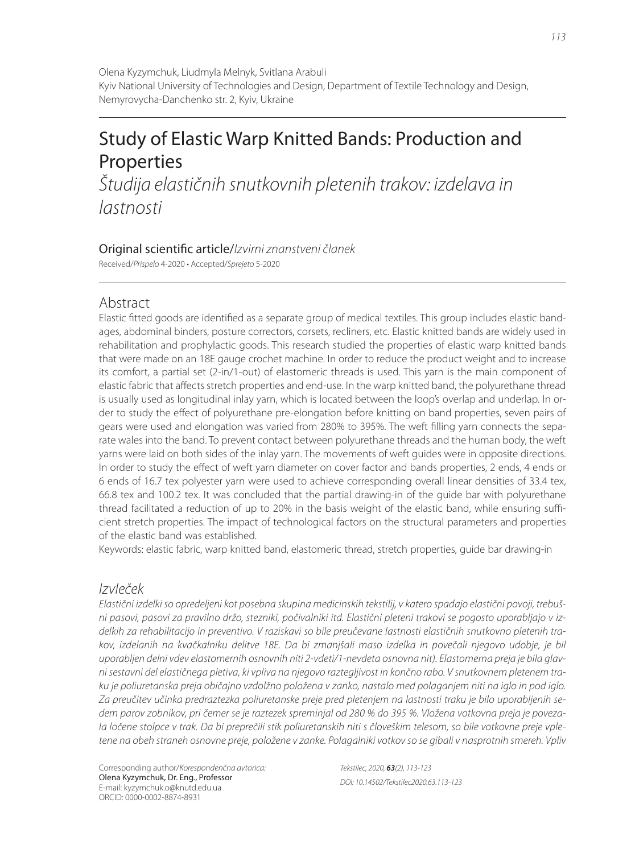# Study of Elastic Warp Knitted Bands: Production and Properties

Študija elastičnih snutkovnih pletenih trakov: izdelava in lastnosti

# Original scientific article/Izvirni znanstveni članek

Received/Prispelo 4-2020 • Accepted/Sprejeto 5-2020

# Abstract

Elastic fitted goods are identified as a separate group of medical textiles. This group includes elastic bandages, abdominal binders, posture correctors, corsets, recliners, etc. Elastic knitted bands are widely used in rehabilitation and prophylactic goods. This research studied the properties of elastic warp knitted bands that were made on an 18E gauge crochet machine. In order to reduce the product weight and to increase its comfort, a partial set (2-in/1-out) of elastomeric threads is used. This yarn is the main component of elastic fabric that affects stretch properties and end-use. In the warp knitted band, the polyurethane thread is usually used as longitudinal inlay yarn, which is located between the loop's overlap and underlap. In order to study the effect of polyurethane pre-elongation before knitting on band properties, seven pairs of gears were used and elongation was varied from 280% to 395%. The weft filling yarn connects the separate wales into the band. To prevent contact between polyurethane threads and the human body, the weft yarns were laid on both sides of the inlay yarn. The movements of weft guides were in opposite directions. In order to study the effect of weft yarn diameter on cover factor and bands properties, 2 ends, 4 ends or 6 ends of 16.7 tex polyester yarn were used to achieve corresponding overall linear densities of 33.4 tex, 66.8 tex and 100.2 tex. It was concluded that the partial drawing-in of the guide bar with polyurethane thread facilitated a reduction of up to 20% in the basis weight of the elastic band, while ensuring sufficient stretch properties. The impact of technological factors on the structural parameters and properties of the elastic band was established.

Keywords: elastic fabric, warp knitted band, elastomeric thread, stretch properties, guide bar drawing-in

# Izvleček

Elastični izdelki so opredeljeni kot posebna skupina medicinskih tekstilij, v katero spadajo elastični povoji, trebušni pasovi, pasovi za pravilno držo, stezniki, počivalniki itd. Elastični pleteni trakovi se pogosto uporabljajo v izdelkih za rehabilitacijo in preventivo. V raziskavi so bile preučevane lastnosti elastičnih snutkovno pletenih trakov, izdelanih na kvačkalniku delitve 18E. Da bi zmanjšali maso izdelka in povečali njegovo udobje, je bil uporabljen delni vdev elastomernih osnovnih niti 2-vdeti/1-nevdeta osnovna nit). Elastomerna preja je bila glavni sestavni del elastičnega pletiva, ki vpliva na njegovo raztegljivost in končno rabo. V snutkovnem pletenem traku je poliuretanska preja običajno vzdolžno položena v zanko, nastalo med polaganjem niti na iglo in pod iglo. Za preučitev učinka predraztezka poliuretanske preje pred pletenjem na lastnosti traku je bilo uporabljenih sedem parov zobnikov, pri čemer se je raztezek spreminjal od 280 % do 395 %. Vložena votkovna preja je povezala ločene stolpce v trak. Da bi preprečili stik poliuretanskih niti s človeškim telesom, so bile votkovne preje vpletene na obeh straneh osnovne preje, položene v zanke. Polagalniki votkov so se gibali v nasprotnih smereh. Vpliv

Corresponding author/Korespondenčna avtorica: Olena Kyzymchuk, Dr. Eng., Professor E-mail: kyzymchuk.o@knutd.edu.ua ORCID: 0000-0002-8874-8931

Tekstilec, 2020, *63*(2), 113-123 DOI: 10.14502/Tekstilec2020.63.113-123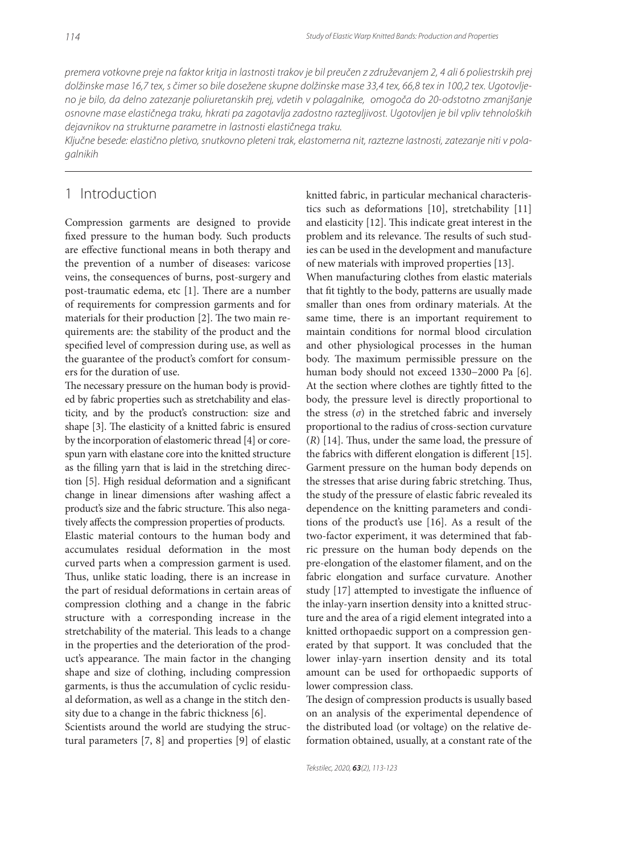premera votkovne preje na faktor kritja in lastnosti trakov je bil preučen z združevanjem 2, 4 ali 6 poliestrskih prej dolžinske mase 16,7 tex, s čimer so bile dosežene skupne dolžinske mase 33,4 tex, 66,8 tex in 100,2 tex. Ugotovljeno je bilo, da delno zatezanje poliuretanskih prej, vdetih v polagalnike, omogoča do 20-odstotno zmanjšanje osnovne mase elastičnega traku, hkrati pa zagotavlja zadostno raztegljivost. Ugotovljen je bil vpliv tehnoloških dejavnikov na strukturne parametre in lastnosti elastičnega traku.

Ključne besede: elastično pletivo, snutkovno pleteni trak, elastomerna nit, raztezne lastnosti, zatezanje niti v polagalnikih

## 1 Introduction

Compression garments are designed to provide fixed pressure to the human body. Such products are effective functional means in both therapy and the prevention of a number of diseases: varicose veins, the consequences of burns, post-surgery and post-traumatic edema, etc [1]. There are a number of requirements for compression garments and for materials for their production [2]. The two main requirements are: the stability of the product and the specified level of compression during use, as well as the guarantee of the product's comfort for consumers for the duration of use.

The necessary pressure on the human body is provided by fabric properties such as stretchability and elasticity, and by the product's construction: size and shape [3]. The elasticity of a knitted fabric is ensured by the incorporation of elastomeric thread [4] or corespun yarn with elastane core into the knitted structure as the filling yarn that is laid in the stretching direction [5]. High residual deformation and a significant change in linear dimensions after washing affect a product's size and the fabric structure. This also negatively affects the compression properties of products. Elastic material contours to the human body and accumulates residual deformation in the most curved parts when a compression garment is used. Thus, unlike static loading, there is an increase in the part of residual deformations in certain areas of compression clothing and a change in the fabric structure with a corresponding increase in the stretchability of the material. This leads to a change in the properties and the deterioration of the product's appearance. The main factor in the changing shape and size of clothing, including compression garments, is thus the accumulation of cyclic residual deformation, as well as a change in the stitch density due to a change in the fabric thickness [6].

Scientists around the world are studying the structural parameters [7, 8] and properties [9] of elastic knitted fabric, in particular mechanical characteristics such as deformations [10], stretchability [11] and elasticity [12]. This indicate great interest in the problem and its relevance. The results of such studies can be used in the development and manufacture of new materials with improved properties [13].

When manufacturing clothes from elastic materials that fit tightly to the body, patterns are usually made smaller than ones from ordinary materials. At the same time, there is an important requirement to maintain conditions for normal blood circulation and other physiological processes in the human body. The maximum permissible pressure on the human body should not exceed 1330−2000 Pa [6]. At the section where clothes are tightly fitted to the body, the pressure level is directly proportional to the stress  $(σ)$  in the stretched fabric and inversely proportional to the radius of cross-section curvature  $(R)$  [14]. Thus, under the same load, the pressure of the fabrics with different elongation is different [15]. Garment pressure on the human body depends on the stresses that arise during fabric stretching. Thus, the study of the pressure of elastic fabric revealed its dependence on the knitting parameters and conditions of the product's use [16]. As a result of the two-factor experiment, it was determined that fabric pressure on the human body depends on the pre-elongation of the elastomer filament, and on the fabric elongation and surface curvature. Another study [17] attempted to investigate the influence of the inlay-yarn insertion density into a knitted structure and the area of a rigid element integrated into a knitted orthopaedic support on a compression generated by that support. It was concluded that the lower inlay-yarn insertion density and its total amount can be used for orthopaedic supports of lower compression class.

The design of compression products is usually based on an analysis of the experimental dependence of the distributed load (or voltage) on the relative deformation obtained, usually, at a constant rate of the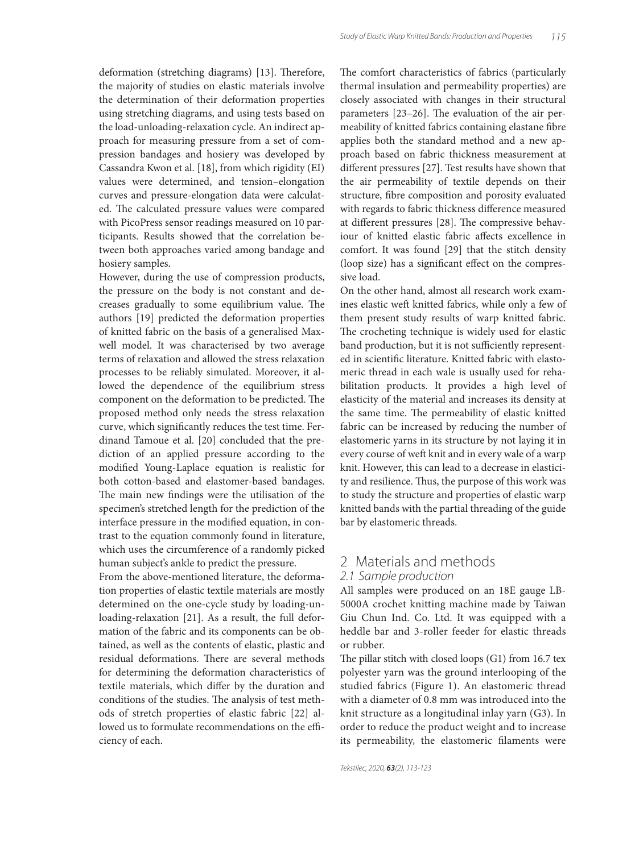deformation (stretching diagrams) [13]. Therefore, the majority of studies on elastic materials involve the determination of their deformation properties using stretching diagrams, and using tests based on the load-unloading-relaxation cycle. An indirect approach for measuring pressure from a set of compression bandages and hosiery was developed by Cassandra Kwon et al. [18], from which rigidity (EI) values were determined, and tension–elongation curves and pressure-elongation data were calculated. The calculated pressure values were compared with PicoPress sensor readings measured on 10 participants. Results showed that the correlation between both approaches varied among bandage and hosiery samples.

However, during the use of compression products, the pressure on the body is not constant and decreases gradually to some equilibrium value. The authors [19] predicted the deformation properties of knitted fabric on the basis of a generalised Maxwell model. It was characterised by two average terms of relaxation and allowed the stress relaxation processes to be reliably simulated. Moreover, it allowed the dependence of the equilibrium stress component on the deformation to be predicted. The proposed method only needs the stress relaxation curve, which significantly reduces the test time. Ferdinand Tamoue et al. [20] concluded that the prediction of an applied pressure according to the modified Young-Laplace equation is realistic for both cotton-based and elastomer-based bandages. The main new findings were the utilisation of the specimen's stretched length for the prediction of the interface pressure in the modified equation, in contrast to the equation commonly found in literature, which uses the circumference of a randomly picked human subject's ankle to predict the pressure.

From the above-mentioned literature, the deformation properties of elastic textile materials are mostly determined on the one-cycle study by loading-unloading-relaxation [21]. As a result, the full deformation of the fabric and its components can be obtained, as well as the contents of elastic, plastic and residual deformations. There are several methods for determining the deformation characteristics of textile materials, which differ by the duration and conditions of the studies. The analysis of test methods of stretch properties of elastic fabric [22] allowed us to formulate recommendations on the efficiency of each.

The comfort characteristics of fabrics (particularly thermal insulation and permeability properties) are closely associated with changes in their structural parameters [23-26]. The evaluation of the air permeability of knitted fabrics containing elastane fibre applies both the standard method and a new approach based on fabric thickness measurement at different pressures [27]. Test results have shown that the air permeability of textile depends on their structure, fibre composition and porosity evaluated with regards to fabric thickness difference measured at different pressures [28]. The compressive behaviour of knitted elastic fabric affects excellence in comfort. It was found [29] that the stitch density (loop size) has a significant effect on the compressive load.

On the other hand, almost all research work examines elastic weft knitted fabrics, while only a few of them present study results of warp knitted fabric. The crocheting technique is widely used for elastic band production, but it is not sufficiently represented in scientific literature. Knitted fabric with elastomeric thread in each wale is usually used for rehabilitation products. It provides a high level of elasticity of the material and increases its density at the same time. The permeability of elastic knitted fabric can be increased by reducing the number of elastomeric yarns in its structure by not laying it in every course of weft knit and in every wale of a warp knit. However, this can lead to a decrease in elasticity and resilience. Thus, the purpose of this work was to study the structure and properties of elastic warp knitted bands with the partial threading of the guide bar by elastomeric threads.

# 2 Materials and methods

#### 2.1 Sample production

All samples were produced on an 18E gauge LB-5000A crochet knitting machine made by Taiwan Giu Chun Ind. Co. Ltd. It was equipped with a heddle bar and 3-roller feeder for elastic threads or rubber.

The pillar stitch with closed loops  $(G1)$  from 16.7 tex polyester yarn was the ground interlooping of the studied fabrics (Figure 1). An elastomeric thread with a diameter of 0.8 mm was introduced into the knit structure as a longitudinal inlay yarn (G3). In order to reduce the product weight and to increase its permeability, the elastomeric filaments were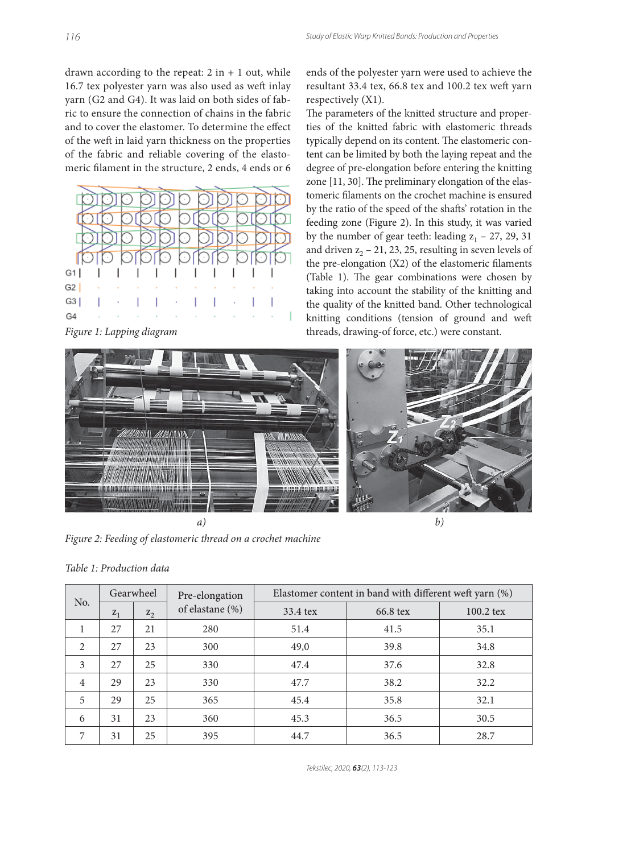drawn according to the repeat:  $2$  in  $+ 1$  out, while 16.7 tex polyester yarn was also used as weft inlay yarn (G2 and G4). It was laid on both sides of fabric to ensure the connection of chains in the fabric and to cover the elastomer. To determine the effect of the weft in laid yarn thickness on the properties of the fabric and reliable covering of the elastomeric filament in the structure, 2 ends, 4 ends or 6



*Figure 1: Lapping diagram*

ends of the polyester yarn were used to achieve the resultant 33.4 tex, 66.8 tex and 100.2 tex weft yarn respectively (X1).

The parameters of the knitted structure and properties of the knitted fabric with elastomeric threads typically depend on its content. The elastomeric content can be limited by both the laying repeat and the degree of pre-elongation before entering the knitting zone  $[11, 30]$ . The preliminary elongation of the elastomeric filaments on the crochet machine is ensured by the ratio of the speed of the shafts' rotation in the feeding zone (Figure 2). In this study, it was varied by the number of gear teeth: leading  $z_1$  – 27, 29, 31 and driven  $z_2$  – 21, 23, 25, resulting in seven levels of the pre-elongation  $(X2)$  of the elastomeric filaments (Table 1). The gear combinations were chosen by taking into account the stability of the knitting and the quality of the knitted band. Other technological knitting conditions (tension of ground and weft threads, drawing-of force, etc.) were constant.



*a)*

*Figure 2: Feeding of elastomeric thread on a crochet machine*

| No.            | Gearwheel |         | Pre-elongation  | Elastomer content in band with different weft yarn (%) |          |             |  |  |
|----------------|-----------|---------|-----------------|--------------------------------------------------------|----------|-------------|--|--|
|                | $Z_1$     | $Z_{2}$ | of elastane (%) | 33.4 tex                                               | 66.8 tex | $100.2$ tex |  |  |
|                | 27        | 21      | 280             | 51.4                                                   | 41.5     | 35.1        |  |  |
| $\mathfrak{D}$ | 27        | 23      | 300             | 49,0                                                   | 39.8     | 34.8        |  |  |
| 3              | 27        | 25      | 330             | 47.4                                                   | 37.6     | 32.8        |  |  |
| $\overline{4}$ | 29        | 23      | 330             | 47.7                                                   | 38.2     | 32.2        |  |  |
| 5              | 29        | 25      | 365             | 45.4                                                   | 35.8     | 32.1        |  |  |
| 6              | 31        | 23      | 360             | 45.3                                                   | 36.5     | 30.5        |  |  |
| 7              | 31        | 25      | 395             | 44.7                                                   | 36.5     | 28.7        |  |  |

Tekstilec, 2020, *63*(2), 113-123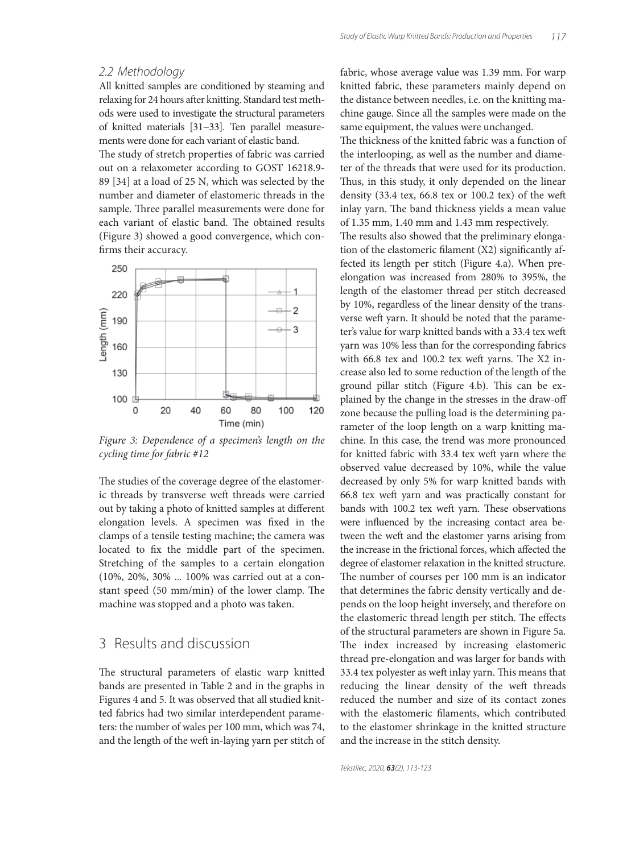#### 2.2 Methodology

All knitted samples are conditioned by steaming and relaxing for 24 hours after knitting. Standard test methods were used to investigate the structural parameters of knitted materials [31−33]. Ten parallel measurements were done for each variant of elastic band.

The study of stretch properties of fabric was carried out on a relaxometer according to GOST 16218.9- 89 [34] at a load of 25 N, which was selected by the number and diameter of elastomeric threads in the sample. Three parallel measurements were done for each variant of elastic band. The obtained results (Figure 3) showed a good convergence, which confirms their accuracy.



*Figure 3: Dependence of a specimen's length on the cycling time for fabric #12*

The studies of the coverage degree of the elastomeric threads by transverse weft threads were carried out by taking a photo of knitted samples at different elongation levels. A specimen was fixed in the clamps of a tensile testing machine; the camera was located to fix the middle part of the specimen. Stretching of the samples to a certain elongation (10%, 20%, 30% ... 100% was carried out at a constant speed (50 mm/min) of the lower clamp. The machine was stopped and a photo was taken.

# 3 Results and discussion

The structural parameters of elastic warp knitted bands are presented in Table 2 and in the graphs in Figures 4 and 5. It was observed that all studied knitted fabrics had two similar interdependent parameters: the number of wales per 100 mm, which was 74, and the length of the weft in-laying yarn per stitch of fabric, whose average value was 1.39 mm. For warp knitted fabric, these parameters mainly depend on the distance between needles, i.e. on the knitting machine gauge. Since all the samples were made on the same equipment, the values were unchanged.

The thickness of the knitted fabric was a function of the interlooping, as well as the number and diameter of the threads that were used for its production. Thus, in this study, it only depended on the linear density (33.4 tex, 66.8 tex or 100.2 tex) of the weft inlay yarn. The band thickness yields a mean value of 1.35 mm, 1.40 mm and 1.43 mm respectively.

The results also showed that the preliminary elongation of the elastomeric filament  $(X2)$  significantly affected its length per stitch (Figure 4.a). When preelongation was increased from 280% to 395%, the length of the elastomer thread per stitch decreased by 10%, regardless of the linear density of the transverse weft yarn. It should be noted that the parameter's value for warp knitted bands with a 33.4 tex weft yarn was 10% less than for the corresponding fabrics with 66.8 tex and 100.2 tex weft yarns. The  $X2$  increase also led to some reduction of the length of the ground pillar stitch (Figure 4.b). This can be explained by the change in the stresses in the draw-off zone because the pulling load is the determining parameter of the loop length on a warp knitting machine. In this case, the trend was more pronounced for knitted fabric with 33.4 tex weft yarn where the observed value decreased by 10%, while the value decreased by only 5% for warp knitted bands with 66.8 tex weft yarn and was practically constant for bands with 100.2 tex weft yarn. These observations were influenced by the increasing contact area between the weft and the elastomer yarns arising from the increase in the frictional forces, which affected the degree of elastomer relaxation in the knitted structure. The number of courses per 100 mm is an indicator that determines the fabric density vertically and depends on the loop height inversely, and therefore on the elastomeric thread length per stitch. The effects of the structural parameters are shown in Figure 5a. The index increased by increasing elastomeric thread pre-elongation and was larger for bands with 33.4 tex polyester as weft inlay yarn. This means that reducing the linear density of the weft threads reduced the number and size of its contact zones with the elastomeric filaments, which contributed to the elastomer shrinkage in the knitted structure and the increase in the stitch density.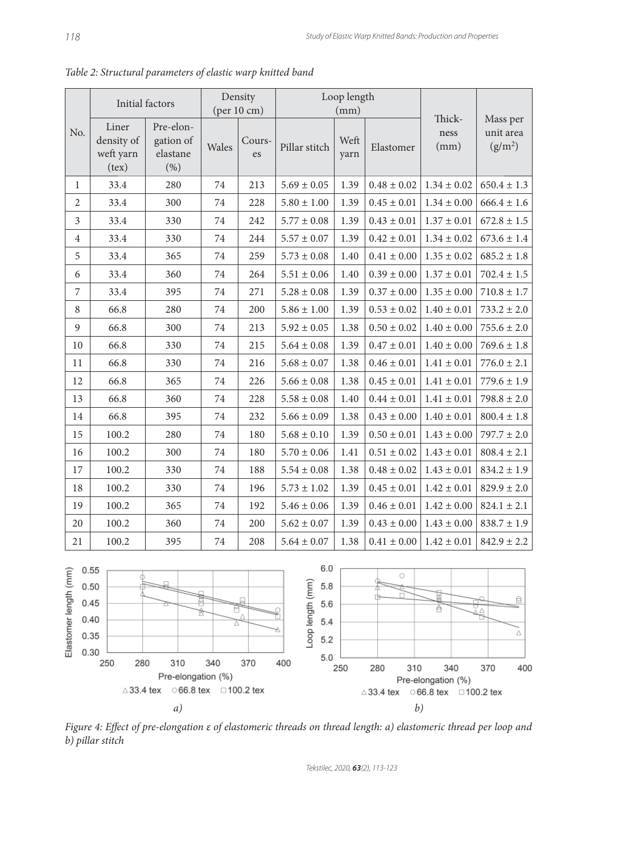| Initial factors                    |                                                                                                               | Density<br>(per 10 cm)                     |       | Loop length<br>(mm) |                         |              |                         |                           |                                              |
|------------------------------------|---------------------------------------------------------------------------------------------------------------|--------------------------------------------|-------|---------------------|-------------------------|--------------|-------------------------|---------------------------|----------------------------------------------|
| No.                                | Liner<br>density of<br>weft yarn<br>(text)                                                                    | Pre-elon-<br>gation of<br>elastane<br>(% ) | Wales | Cours-<br>es        | Pillar stitch           | Weft<br>yarn | Elastomer               | Thick-<br>ness<br>(mm)    | Mass per<br>unit area<br>(g/m <sup>2</sup> ) |
| 1                                  | 33.4                                                                                                          | 280                                        | 74    | 213                 | $5.69 \pm 0.05$         | 1.39         | $0.48 \pm 0.02$         | $1.34 \pm 0.02$           | $650.4 \pm 1.3$                              |
| $\overline{2}$                     | 33.4                                                                                                          | 300                                        | 74    | 228                 | $5.80 \pm 1.00$         | 1.39         | $0.45 \pm 0.01$         | $1.34 \pm 0.00$           | $666.4 \pm 1.6$                              |
| 3                                  | 33.4                                                                                                          | 330                                        | 74    | 242                 | $5.77 \pm 0.08$         | 1.39         | $0.43 \pm 0.01$         | $1.37 \pm 0.01$           | $672.8 \pm 1.5$                              |
| $\overline{4}$                     | 33.4                                                                                                          | 330                                        | 74    | 244                 | $5.57 \pm 0.07$         | 1.39         | $0.42 \pm 0.01$         | $1.34 \pm 0.02$           | $673.6 \pm 1.4$                              |
| 5                                  | 33.4                                                                                                          | 365                                        | 74    | 259                 | $5.73 \pm 0.08$         | 1.40         | $0.41 \pm 0.00$         | $1.35 \pm 0.02$           | $685.2 \pm 1.8$                              |
| 6                                  | 33.4                                                                                                          | 360                                        | 74    | 264                 | $5.51 \pm 0.06$         | 1.40         | $0.39 \pm 0.00$         | $1.37 \pm 0.01$           | $702.4 \pm 1.5$                              |
| 7                                  | 33.4                                                                                                          | 395                                        | 74    | 271                 | $5.28 \pm 0.08$         | 1.39         | $0.37 \pm 0.00$         | $1.35 \pm 0.00$           | $710.8 \pm 1.7$                              |
| 8                                  | 66.8                                                                                                          | 280                                        | 74    | 200                 | $5.86 \pm 1.00$         | 1.39         | $0.53 \pm 0.02$         | $1.40 \pm 0.01$           | $733.2 \pm 2.0$                              |
| 9                                  | 66.8                                                                                                          | 300                                        | 74    | 213                 | $5.92 \pm 0.05$         | 1.38         | $0.50 \pm 0.02$         | $1.40 \pm 0.00$           | $755.6 \pm 2.0$                              |
| 10                                 | 66.8                                                                                                          | 330                                        | 74    | 215                 | $5.64 \pm 0.08$         | 1.39         | $0.47 \pm 0.01$         | $1.40 \pm 0.00$           | $769.6 \pm 1.8$                              |
| 11                                 | 66.8                                                                                                          | 330                                        | 74    | 216                 | $5.68 \pm 0.07$         | 1.38         | $0.46 \pm 0.01$         | $1.41 \pm 0.01$           | $776.0 \pm 2.1$                              |
| 12                                 | 66.8                                                                                                          | 365                                        | 74    | 226                 | $5.66 \pm 0.08$         | 1.38         | $0.45 \pm 0.01$         | $1.41 \pm 0.01$           | $779.6 \pm 1.9$                              |
| 13                                 | 66.8                                                                                                          | 360                                        | 74    | 228                 | $5.58 \pm 0.08$         | 1.40         | $0.44 \pm 0.01$         | $1.41 \pm 0.01$           | $798.8 \pm 2.0$                              |
| 14                                 | 66.8                                                                                                          | 395                                        | 74    | 232                 | $5.66 \pm 0.09$         | 1.38         | $0.43 \pm 0.00$         | $1.40 \pm 0.01$           | $800.4\pm1.8$                                |
| 15                                 | 100.2                                                                                                         | 280                                        | 74    | 180                 | $5.68 \pm 0.10$         | 1.39         | $0.50 \pm 0.01$         | $1.43 \pm 0.00$           | $797.7 \pm 2.0$                              |
| 16                                 | 100.2                                                                                                         | 300                                        | 74    | 180                 | $5.70 \pm 0.06$         | 1.41         | $0.51 \pm 0.02$         | $1.43 \pm 0.01$           | $808.4\pm2.1$                                |
| 17                                 | 100.2                                                                                                         | 330                                        | 74    | 188                 | $5.54 \pm 0.08$         | 1.38         | $0.48 \pm 0.02$         | $1.43 \pm 0.01$           | $834.2 \pm 1.9$                              |
| 18                                 | 100.2                                                                                                         | 330                                        | 74    | 196                 | $5.73 \pm 1.02$         | 1.39         | $0.45 \pm 0.01$         | $1.42 \pm 0.01$           | $829.9 \pm 2.0$                              |
| 19                                 | 100.2                                                                                                         | 365                                        | 74    | 192                 | $5.46 \pm 0.06$         | 1.39         | $0.46 \pm 0.01$         | $1.42 \pm 0.00$           | $824.1 \pm 2.1$                              |
| 20                                 | 100.2                                                                                                         | 360                                        | 74    | 200                 | $5.62 \pm 0.07$         | 1.39         | $0.43 \pm 0.00$         | $1.43 \pm 0.00$           | $838.7 \pm 1.9$                              |
| 21                                 | 100.2                                                                                                         | 395                                        | 74    | 208                 | $5.64 \pm 0.07$         | 1.38         | $0.41 \pm 0.00$         | $1.42 \pm 0.01$           | $842.9 \pm 2.2$                              |
|                                    | 6.0<br>$\begin{array}{c c}\n\widehat{\mathsf{E}} & 0.55 \\ 0.50 & 0.45 \\ 0.40 & 0.35 \\ \hline\n\end{array}$ |                                            |       |                     |                         |              |                         |                           |                                              |
|                                    |                                                                                                               |                                            |       |                     | 5.8                     |              | О                       |                           |                                              |
|                                    |                                                                                                               |                                            |       |                     | Loop length (mm)<br>5.6 |              |                         | ø                         | ₿<br>Δ                                       |
|                                    |                                                                                                               |                                            |       |                     | 5.4                     |              |                         |                           |                                              |
|                                    |                                                                                                               |                                            |       |                     | 5.2                     |              |                         |                           | Δ                                            |
|                                    | 250<br>280                                                                                                    | 310                                        | 340   | 370                 | 5.0<br>400              |              |                         |                           |                                              |
| Pre-elongation (%)                 |                                                                                                               |                                            |       |                     |                         | 250          | 280<br>310              | 340<br>Pre-elongation (%) | 370<br>400                                   |
| ○66.8 tex □ 100.2 tex<br>∆33.4 tex |                                                                                                               |                                            |       |                     |                         |              | $\vartriangle$ 33.4 tex | ○66.8 tex □ 100.2 tex     |                                              |
| a)                                 |                                                                                                               |                                            |       |                     |                         |              | b)                      |                           |                                              |

*Table 2: Structural parameters of elastic warp knitted band*



Tekstilec, 2020, *63*(2), 113-123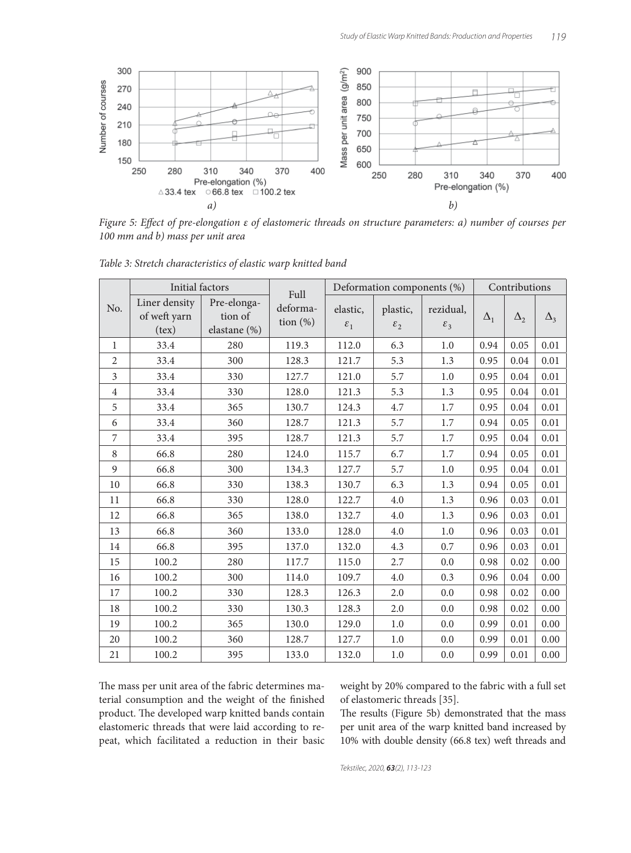

*Figure 5: Effect of pre-elongation ε of elastomeric threads on structure parameters: a) number of courses per 100 mm and b) mass per unit area*

|                | Initial factors                         |                                        |                                 | Deformation components (%)  |                                        |                              | Contributions |            |                       |
|----------------|-----------------------------------------|----------------------------------------|---------------------------------|-----------------------------|----------------------------------------|------------------------------|---------------|------------|-----------------------|
| No.            | Liner density<br>of weft yarn<br>(text) | Pre-elonga-<br>tion of<br>elastane (%) | Full<br>deforma-<br>tion $(\%)$ | elastic,<br>$\varepsilon_1$ | plastic,<br>$\varepsilon$ <sub>2</sub> | rezidual,<br>$\mathcal{E}_3$ | $\Delta_1$    | $\Delta_2$ | $\Delta$ <sub>3</sub> |
| $\mathbf{1}$   | 33.4                                    | 280                                    | 119.3                           | 112.0                       | 6.3                                    | 1.0                          | 0.94          | 0.05       | 0.01                  |
| $\overline{2}$ | 33.4                                    | 300                                    | 128.3                           | 121.7                       | 5.3                                    | 1.3                          | 0.95          | 0.04       | 0.01                  |
| 3              | 33.4                                    | 330                                    | 127.7                           | 121.0                       | 5.7                                    | 1.0                          | 0.95          | 0.04       | 0.01                  |
| $\overline{4}$ | 33.4                                    | 330                                    | 128.0                           | 121.3                       | 5.3                                    | 1.3                          | 0.95          | 0.04       | 0.01                  |
| 5              | 33.4                                    | 365                                    | 130.7                           | 124.3                       | 4.7                                    | 1.7                          | 0.95          | 0.04       | 0.01                  |
| 6              | 33.4                                    | 360                                    | 128.7                           | 121.3                       | 5.7                                    | 1.7                          | 0.94          | 0.05       | 0.01                  |
| 7              | 33.4                                    | 395                                    | 128.7                           | 121.3                       | 5.7                                    | 1.7                          | 0.95          | 0.04       | 0.01                  |
| 8              | 66.8                                    | 280                                    | 124.0                           | 115.7                       | 6.7                                    | 1.7                          | 0.94          | 0.05       | 0.01                  |
| 9              | 66.8                                    | 300                                    | 134.3                           | 127.7                       | 5.7                                    | 1.0                          | 0.95          | 0.04       | 0.01                  |
| 10             | 66.8                                    | 330                                    | 138.3                           | 130.7                       | 6.3                                    | 1.3                          | 0.94          | 0.05       | 0.01                  |
| 11             | 66.8                                    | 330                                    | 128.0                           | 122.7                       | 4.0                                    | 1.3                          | 0.96          | 0.03       | 0.01                  |
| 12             | 66.8                                    | 365                                    | 138.0                           | 132.7                       | 4.0                                    | 1.3                          | 0.96          | 0.03       | 0.01                  |
| 13             | 66.8                                    | 360                                    | 133.0                           | 128.0                       | 4.0                                    | 1.0                          | 0.96          | 0.03       | 0.01                  |
| 14             | 66.8                                    | 395                                    | 137.0                           | 132.0                       | 4.3                                    | 0.7                          | 0.96          | 0.03       | 0.01                  |
| 15             | 100.2                                   | 280                                    | 117.7                           | 115.0                       | 2.7                                    | 0.0                          | 0.98          | 0.02       | 0.00                  |
| 16             | 100.2                                   | 300                                    | 114.0                           | 109.7                       | 4.0                                    | 0.3                          | 0.96          | 0.04       | 0.00                  |
| 17             | 100.2                                   | 330                                    | 128.3                           | 126.3                       | 2.0                                    | 0.0                          | 0.98          | 0.02       | 0.00                  |
| 18             | 100.2                                   | 330                                    | 130.3                           | 128.3                       | 2.0                                    | 0.0                          | 0.98          | 0.02       | 0.00                  |
| 19             | 100.2                                   | 365                                    | 130.0                           | 129.0                       | 1.0                                    | 0.0                          | 0.99          | 0.01       | 0.00                  |
| 20             | 100.2                                   | 360                                    | 128.7                           | 127.7                       | 1.0                                    | 0.0                          | 0.99          | 0.01       | 0.00                  |
| 21             | 100.2                                   | 395                                    | 133.0                           | 132.0                       | $1.0\,$                                | 0.0                          | 0.99          | 0.01       | 0.00                  |

*Table 3: Stretch characteristics of elastic warp knitted band*

The mass per unit area of the fabric determines material consumption and the weight of the finished product. The developed warp knitted bands contain elastomeric threads that were laid according to repeat, which facilitated a reduction in their basic weight by 20% compared to the fabric with a full set of elastomeric threads [35].

The results (Figure 5b) demonstrated that the mass per unit area of the warp knitted band increased by 10% with double density (66.8 tex) weft threads and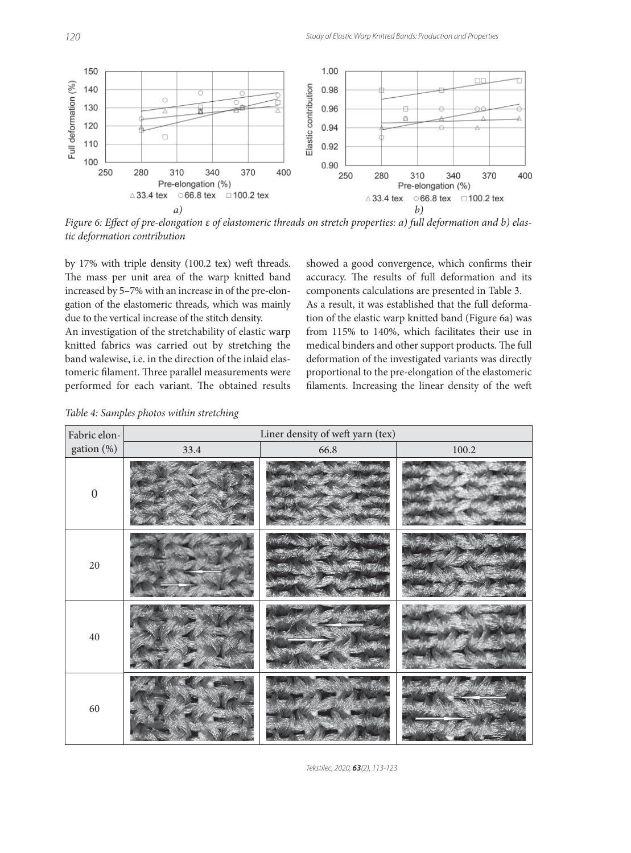

*Figure 6: Effect of pre-elongation ε of elastomeric threads on stretch properties: a) full deformation and b) elastic deformation contribution*

by 17% with triple density (100.2 tex) weft threads. The mass per unit area of the warp knitted band increased by 5–7% with an increase in of the pre-elongation of the elastomeric threads, which was mainly due to the vertical increase of the stitch density.

An investigation of the stretchability of elastic warp knitted fabrics was carried out by stretching the band walewise, i.e. in the direction of the inlaid elastomeric filament. Three parallel measurements were performed for each variant. The obtained results

showed a good convergence, which confirms their accuracy. The results of full deformation and its components calculations are presented in Table 3.

As a result, it was established that the full deformation of the elastic warp knitted band (Figure 6a) was from 115% to 140%, which facilitates their use in medical binders and other support products. The full deformation of the investigated variants was directly proportional to the pre-elongation of the elastomeric filaments. Increasing the linear density of the weft

*Table 4: Samples photos within stretching*

| Fabric elon-     | Liner density of weft yarn (tex) |      |           |  |  |  |  |  |  |
|------------------|----------------------------------|------|-----------|--|--|--|--|--|--|
| gation (%)       | 33.4                             | 66.8 | $100.2\,$ |  |  |  |  |  |  |
| $\boldsymbol{0}$ |                                  |      |           |  |  |  |  |  |  |
| $20\,$           |                                  |      |           |  |  |  |  |  |  |
| $40\,$           |                                  |      |           |  |  |  |  |  |  |
| 60               |                                  |      |           |  |  |  |  |  |  |

Tekstilec, 2020, *63*(2), 113-123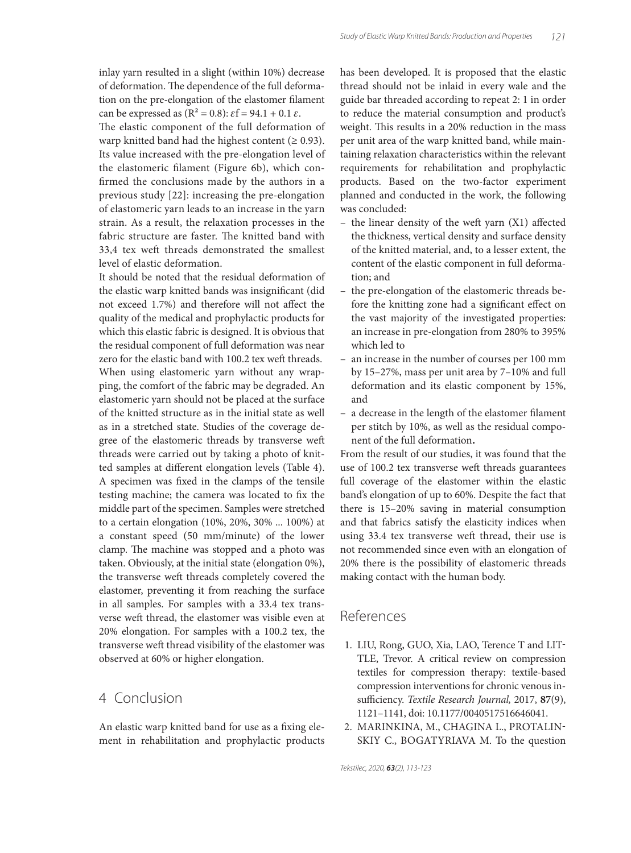inlay yarn resulted in a slight (within 10%) decrease of deformation. The dependence of the full deformation on the pre-elongation of the elastomer filament can be expressed as  $(R^2 = 0.8)$ :  $\varepsilon f = 94.1 + 0.1 \varepsilon$ .

The elastic component of the full deformation of warp knitted band had the highest content ( $\geq 0.93$ ). Its value increased with the pre-elongation level of the elastomeric filament (Figure 6b), which confirmed the conclusions made by the authors in a previous study [22]: increasing the pre-elongation of elastomeric yarn leads to an increase in the yarn strain. As a result, the relaxation processes in the fabric structure are faster. The knitted band with 33,4 tex weft threads demonstrated the smallest level of elastic deformation.

It should be noted that the residual deformation of the elastic warp knitted bands was insignificant (did not exceed 1.7%) and therefore will not affect the quality of the medical and prophylactic products for which this elastic fabric is designed. It is obvious that the residual component of full deformation was near zero for the elastic band with 100.2 tex weft threads. When using elastomeric yarn without any wrapping, the comfort of the fabric may be degraded. An elastomeric yarn should not be placed at the surface of the knitted structure as in the initial state as well as in a stretched state. Studies of the coverage degree of the elastomeric threads by transverse weft threads were carried out by taking a photo of knitted samples at different elongation levels (Table 4). A specimen was fixed in the clamps of the tensile testing machine; the camera was located to fix the middle part of the specimen. Samples were stretched to a certain elongation (10%, 20%, 30% ... 100%) at a constant speed (50 mm/minute) of the lower clamp. The machine was stopped and a photo was taken. Obviously, at the initial state (elongation 0%), the transverse weft threads completely covered the elastomer, preventing it from reaching the surface in all samples. For samples with a 33.4 tex transverse weft thread, the elastomer was visible even at 20% elongation. For samples with a 100.2 tex, the transverse weft thread visibility of the elastomer was observed at 60% or higher elongation.

#### 4 Conclusion

An elastic warp knitted band for use as a fixing element in rehabilitation and prophylactic products has been developed. It is proposed that the elastic thread should not be inlaid in every wale and the guide bar threaded according to repeat 2: 1 in order to reduce the material consumption and product's weight. This results in a 20% reduction in the mass per unit area of the warp knitted band, while maintaining relaxation characteristics within the relevant requirements for rehabilitation and prophylactic products. Based on the two-factor experiment planned and conducted in the work, the following was concluded:

- $-$  the linear density of the weft yarn  $(X1)$  affected the thickness, vertical density and surface density of the knitted material, and, to a lesser extent, the content of the elastic component in full deformation; and
- the pre-elongation of the elastomeric threads before the knitting zone had a significant effect on the vast majority of the investigated properties: an increase in pre-elongation from 280% to 395% which led to
- an increase in the number of courses per 100 mm by 15–27%, mass per unit area by 7–10% and full deformation and its elastic component by 15%, and
- $-$  a decrease in the length of the elastomer filament per stitch by 10%, as well as the residual component of the full deformation**.**

From the result of our studies, it was found that the use of 100.2 tex transverse weft threads guarantees full coverage of the elastomer within the elastic band's elongation of up to 60%. Despite the fact that there is 15–20% saving in material consumption and that fabrics satisfy the elasticity indices when using 33.4 tex transverse weft thread, their use is not recommended since even with an elongation of 20% there is the possibility of elastomeric threads making contact with the human body.

#### References

- 1. LIU, Rong, GUO, Xia, LAO, Terence T and LIT-TLE, Trevor. A critical review on compression textiles for compression therapy: textile-based compression interventions for chronic venous insufficiency. *Textile Research Journal*, 2017, 87(9), 1121–1141, doi: 10.1177/0040517516646041.
- 2. MARINKINA, M., CHAGINA L., PROTALIN-SKIY C., BOGATYRIAVA M. To the question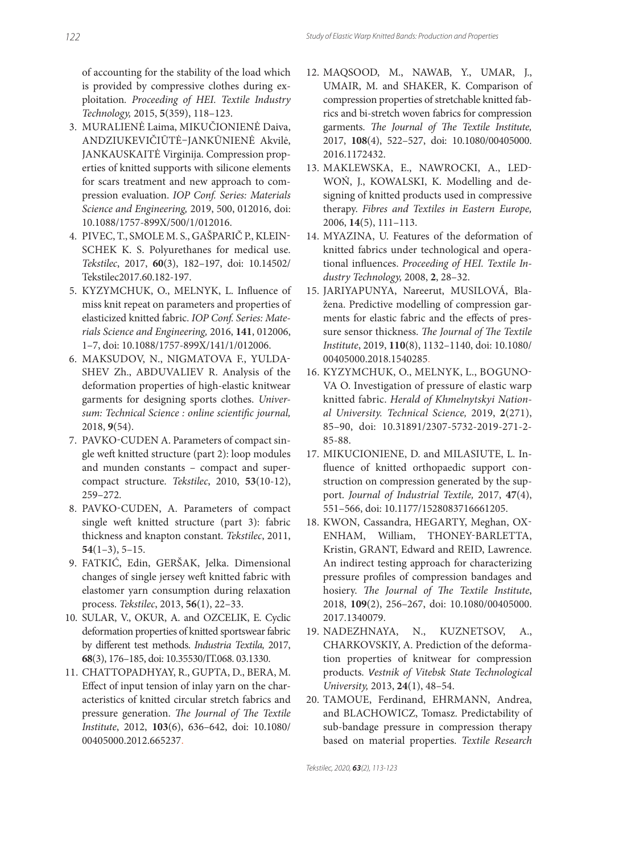of accounting for the stability of the load which is provided by compressive clothes during exploitation*. Proceeding of HEI. Textile Industry Technology,* 2015, **5**(359), 118–123.

- 3. MURALIENĖ Laima, MIKUČIONIENĖ Daiva, ANDZIUKEVIČIŪTĖ–JANKŪNIENĖ Akvilė, JANKAUSKAITĖ Virginija. Compression properties of knitted supports with silicone elements for scars treatment and new approach to compression evaluation. *IOP Conf. Series: Materials Science and Engineering,* 2019, 500, 012016, doi: 10.1088/1757-899X/500/1/012016.
- 4. PIVEC, T., SMOLE M. S., GAŠPARIČ P., KLEIN-SCHEK K. S. Polyurethanes for medical use. *Tekstilec*, 2017, **60**(3), 182–197, doi: 10.14502/ Tekstilec2017.60.182-197.
- 5. KYZYMCHUK, O., MELNYK, L. Influence of miss knit repeat on parameters and properties of elasticized knitted fabric. *IOP Conf. Series: Materials Science and Engineering,* 2016, **141**, 012006, 1–7, doi: 10.1088/1757-899X/141/1/012006.
- 6. MAKSUDOV, N., NIGMATOVA F., YULDA-SHEV Zh., ABDUVALIEV R. Analysis of the deformation properties of high-elastic knitwear garments for designing sports clothes. *Univer*sum: Technical Science : online scientific journal, 2018, **9**(54).
- 7. PAVKO-CUDEN A. Parameters of compact single weft knitted structure (part 2): loop modules and munden constants – compact and supercompact structure. *Tekstilec*, 2010, **53**(10-12), 259–272.
- 8. PAVKO-CUDEN, A. Parameters of compact single weft knitted structure (part 3): fabric thickness and knapton constant. *Tekstilec*, 2011, **54**(1–3), 5–15.
- 9. FATKIĆ, Edin, GERŠAK, Jelka. Dimensional changes of single jersey weft knitted fabric with elastomer yarn consumption during relaxation process. *Tekstilec*, 2013, **56**(1), 22–33.
- 10. SULAR, V., OKUR, A. and OZCELIK, E. Cyclic deformation properties of knitted sportswear fabric by diff erent test methods. *Industria Textila,* 2017, **68**(3), 176–185, doi: 10.35530/IT.068. 03.1330.
- 11. CHATTOPADHYAY, R., GUPTA, D., BERA, M. Effect of input tension of inlay yarn on the characteristics of knitted circular stretch fabrics and pressure generation. The Journal of The Textile *Institute*, 2012, **103**(6), 636–642, doi: 10.1080/ 00405000.2012.665237.
- 12. MAQSOOD, M., NAWAB, Y., UMAR, J., UMAIR, M. and SHAKER, K. Comparison of compression properties of stretchable knitted fabrics and bi-stretch woven fabrics for compression garments. *The Journal of The Textile Institute*, 2017, **108**(4), 522–527, doi: 10.1080/00405000. 2016.1172432.
- 13. MAKLEWSKA, E., NAWROCKI, A., LED-WOŃ, J., KOWALSKI, K. Modelling and designing of knitted products used in compressive therapy. *Fibres and Textiles in Eastern Europe,* 2006, **14**(5), 111–113.
- 14. MYAZINA, U. Features of the deformation of knitted fabrics under technological and operational influences. Proceeding of HEI. Textile In*dustry Technology,* 2008, **2**, 28–32.
- 15. JARIYAPUNYA, Nareerut, MUSILOVÁ, Blažena. Predictive modelling of compression garments for elastic fabric and the effects of pressure sensor thickness. The Journal of The Textile *Institute*, 2019, **110**(8), 1132–1140, doi: 10.1080/ 00405000.2018.1540285.
- 16. KYZYMCHUK, O., MELNYK, L., BOGUNO-VA O. Investigation of pressure of elastic warp knitted fabric. *Herald of Khmelnytskyi National University. Technical Science,* 2019, **2**(271), 85–90, doi: 10.31891/2307-5732-2019-271-2- 85-88.
- 17. MIKUCIONIENE, D. and MILASIUTE, L. Influence of knitted orthopaedic support construction on compression generated by the support. *Journal of Industrial Textile,* 2017, **47**(4), 551–566, doi: 10.1177/1528083716661205.
- 18. KWON, Cassandra, HEGARTY, Meghan, OX-ENHAM, William, THONEY-BARLETTA, Kristin, GRANT, Edward and REID, Lawrence. An indirect testing approach for characterizing pressure profiles of compression bandages and hosiery. *The Journal of The Textile Institute*, 2018, **109**(2), 256–267, doi: 10.1080/00405000. 2017.1340079.
- 19. NADEZHNAYA, N., KUZNETSOV, A., CHARKOVSKIY, A. Prediction of the deformation properties of knitwear for compression products*. Vestnik of Vitebsk State Technological University,* 2013, **24**(1), 48–54.
- 20. TAMOUE, Ferdinand, EHRMANN, Andrea, and BLACHOWICZ, Tomasz. Predictability of sub-bandage pressure in compression therapy based on material properties. *Textile Research*